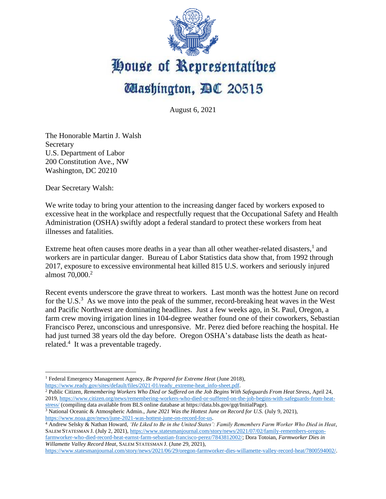

## House of Representatives **Mashington, DC 20515**

August 6, 2021

The Honorable Martin J. Walsh Secretary U.S. Department of Labor 200 Constitution Ave., NW Washington, DC 20210

Dear Secretary Walsh:

We write today to bring your attention to the increasing danger faced by workers exposed to excessive heat in the workplace and respectfully request that the Occupational Safety and Health Administration (OSHA) swiftly adopt a federal standard to protect these workers from heat illnesses and fatalities.

Extreme heat often causes more deaths in a year than all other weather-related disasters,<sup>1</sup> and workers are in particular danger. Bureau of Labor Statistics data show that, from 1992 through 2017, exposure to excessive environmental heat killed 815 U.S. workers and seriously injured almost 70,000. 2

Recent events underscore the grave threat to workers. Last month was the hottest June on record for the U.S. $3$  As we move into the peak of the summer, record-breaking heat waves in the West and Pacific Northwest are dominating headlines. Just a few weeks ago, in St. Paul, Oregon, a farm crew moving irrigation lines in 104-degree weather found one of their coworkers, Sebastian Francisco Perez, unconscious and unresponsive. Mr. Perez died before reaching the hospital. He had just turned 38 years old the day before. Oregon OSHA's database lists the death as heatrelated.<sup>4</sup> It was a preventable tragedy.

[https://www.statesmanjournal.com/story/news/2021/06/29/oregon-farmworker-dies-willamette-valley-record-heat/7800594002/.](https://www.statesmanjournal.com/story/news/2021/06/29/oregon-farmworker-dies-willamette-valley-record-heat/7800594002/)

<sup>1</sup> Federal Emergency Management Agency, *Be Prepared for Extreme Heat* (June 2018), [https://www.ready.gov/sites/default/files/2021-01/ready\\_extreme-heat\\_info-sheet.pdf.](https://www.ready.gov/sites/default/files/2021-01/ready_extreme-heat_info-sheet.pdf)

<sup>&</sup>lt;sup>2</sup> Public Citizen, *Remembering Workers Who Died or Suffered on the Job Begins With Safeguards From Heat Stress*, April 24, 2019[, https://www.citizen.org/news/remembering-workers-who-died-or-suffered-on-the-job-begins-with-safeguards-from-heat](https://www.citizen.org/news/remembering-workers-who-died-or-suffered-on-the-job-begins-with-safeguards-from-heat-stress/)[stress/](https://www.citizen.org/news/remembering-workers-who-died-or-suffered-on-the-job-begins-with-safeguards-from-heat-stress/) (compiling data available from BLS online database at https://data.bls.gov/gqt/InitialPage).

<sup>3</sup> National Oceanic & Atmospheric Admin., *June 2021 Was the Hottest June on Record for U.S.* (July 9, 2021), [https://www.noaa.gov/news/june-2021-was-hottest-june-on-record-for-us.](https://www.noaa.gov/news/june-2021-was-hottest-june-on-record-for-us)

<sup>4</sup> Andrew Selsky & Nathan Howard, *'He Liked to Be in the United States': Family Remembers Farm Worker Who Died in Heat*, SALEM STATESMAN J. (July 2, 2021)[, https://www.statesmanjournal.com/story/news/2021/07/02/family-remembers-oregon](https://www.statesmanjournal.com/story/news/2021/07/02/family-remembers-oregon-farmworker-who-died-record-heat-earnst-farm-sebastian-francisco-perez/7843812002/)[farmworker-who-died-record-heat-earnst-farm-sebastian-francisco-perez/7843812002/;](https://www.statesmanjournal.com/story/news/2021/07/02/family-remembers-oregon-farmworker-who-died-record-heat-earnst-farm-sebastian-francisco-perez/7843812002/) Dora Totoian, *Farmworker Dies in Willamette Valley Record Heat*, SALEM STATESMAN J. (June 29, 2021),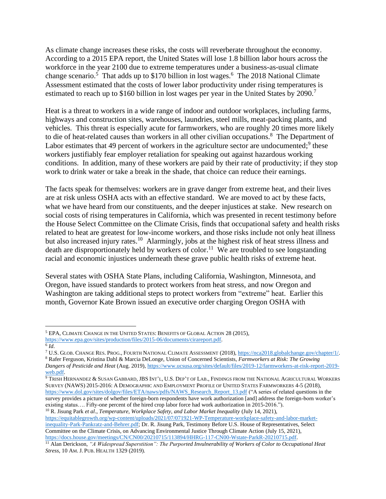As climate change increases these risks, the costs will reverberate throughout the economy. According to a 2015 EPA report, the United States will lose 1.8 billion labor hours across the workforce in the year 2100 due to extreme temperatures under a business-as-usual climate change scenario.<sup>5</sup> That adds up to \$170 billion in lost wages.<sup>6</sup> The 2018 National Climate Assessment estimated that the costs of lower labor productivity under rising temperatures is estimated to reach up to \$160 billion in lost wages per year in the United States by 2090.<sup>7</sup>

Heat is a threat to workers in a wide range of indoor and outdoor workplaces, including farms, highways and construction sites, warehouses, laundries, steel mills, meat-packing plants, and vehicles. This threat is especially acute for farmworkers, who are roughly 20 times more likely to die of heat-related causes than workers in all other civilian occupations.<sup>8</sup> The Department of Labor estimates that 49 percent of workers in the agriculture sector are undocumented; $9$  these workers justifiably fear employer retaliation for speaking out against hazardous working conditions. In addition, many of these workers are paid by their rate of productivity; if they stop work to drink water or take a break in the shade, that choice can reduce their earnings.

The facts speak for themselves: workers are in grave danger from extreme heat, and their lives are at risk unless OSHA acts with an effective standard. We are moved to act by these facts, what we have heard from our constituents, and the deeper injustices at stake. New research on social costs of rising temperatures in California, which was presented in recent testimony before the House Select Committee on the Climate Crisis, finds that occupational safety and health risks related to heat are greatest for low-income workers, and those risks include not only heat illness but also increased injury rates.<sup>10</sup> Alarmingly, jobs at the highest risk of heat stress illness and death are disproportionately held by workers of color.<sup>11</sup> We are troubled to see longstanding racial and economic injustices underneath these grave public health risks of extreme heat.

Several states with OSHA State Plans, including California, Washington, Minnesota, and Oregon, have issued standards to protect workers from heat stress, and now Oregon and Washington are taking additional steps to protect workers from "extreme" heat. Earlier this month, Governor Kate Brown issued an executive order charging Oregon OSHA with

<sup>8</sup> Rafer Ferguson, Kristina Dahl & Marcia DeLonge, Union of Concerned Scientists, *Farmworkers at Risk: The Growing* 

<sup>10</sup> R. Jisung Park *et al*., *Temperature, Workplace Safety, and Labor Market Inequality* (July 14, 2021),

[https://equitablegrowth.org/wp-content/uploads/2021/07/071921-WP-Temperature-workplace-safety-and-labor-market](https://equitablegrowth.org/wp-content/uploads/2021/07/071921-WP-Temperature-workplace-safety-and-labor-market-inequality-Park-Pankratz-and-Behrer.pdf)[inequality-Park-Pankratz-and-Behrer.pdf;](https://equitablegrowth.org/wp-content/uploads/2021/07/071921-WP-Temperature-workplace-safety-and-labor-market-inequality-Park-Pankratz-and-Behrer.pdf) Dr. R. Jisung Park, Testimony Before U.S. House of Representatives, Select Committee on the Climate Crisis, on Advancing Environmental Justice Through Climate Action (July 15, 2021), [https://docs.house.gov/meetings/CN/CN00/20210715/113894/HHRG-117-CN00-Wstate-ParkR-20210715.pdf.](https://docs.house.gov/meetings/CN/CN00/20210715/113894/HHRG-117-CN00-Wstate-ParkR-20210715.pdf)

<sup>5</sup> EPA, CLIMATE CHANGE IN THE UNITED STATES: BENEFITS OF GLOBAL ACTION 28 (2015),

[https://www.epa.gov/sites/production/files/2015-06/documents/cirareport.pdf.](https://www.epa.gov/sites/production/files/2015-06/documents/cirareport.pdf)

<sup>6</sup> *Id*.

<sup>7</sup> U.S. GLOB. CHANGE RES. PROG., FOURTH NATIONAL CLIMATE ASSESSMENT (2018)[, https://nca2018.globalchange.gov/chapter/1/.](https://nca2018.globalchange.gov/chapter/1/)

*Dangers of Pesticide and Heat* (Aug. 2019)[, https://www.ucsusa.org/sites/default/files/2019-12/farmworkers-at-risk-report-2019](https://www.ucsusa.org/sites/default/files/2019-12/farmworkers-at-risk-report-2019-web.pdf) [web.pdf.](https://www.ucsusa.org/sites/default/files/2019-12/farmworkers-at-risk-report-2019-web.pdf)

<sup>&</sup>lt;sup>9</sup> Trish Hernandez & Susan Gabbard, JBS Int'l, U.S. Dep't of Lab., Findings from the National Agricultural Workers SURVEY (NAWS) 2015-2016: A DEMOGRAPHIC AND EMPLOYMENT PROFILE OF UNITED STATES FARMWORKERS 4-5 (2018), [https://www.dol.gov/sites/dolgov/files/ETA/naws/pdfs/NAWS\\_Research\\_Report\\_13.pdf](https://www.dol.gov/sites/dolgov/files/ETA/naws/pdfs/NAWS_Research_Report_13.pdf) ("A series of related questions in the survey provides a picture of whether foreign-born respondents have work authorization [and] address the foreign-born worker's existing status…. Fifty-one percent of the hired crop labor force had work authorization in 2015-2016.").

<sup>11</sup> Alan Derickson, *"A Widespread Superstition": The Purported Invulnerability of Workers of Color to Occupational Heat Stress*, 10 AM. J. PUB. HEALTH 1329 (2019).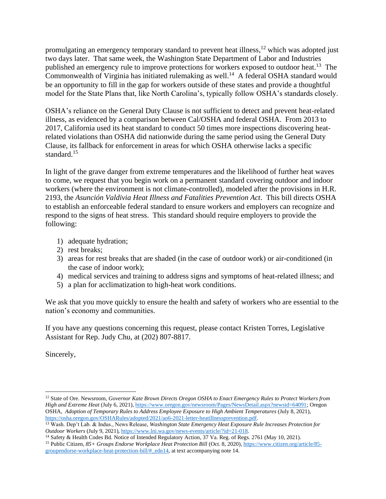promulgating an emergency temporary standard to prevent heat illness,<sup>12</sup> which was adopted just two days later. That same week, the Washington State Department of Labor and Industries published an emergency rule to improve protections for workers exposed to outdoor heat.<sup>13</sup> The Commonwealth of Virginia has initiated rulemaking as well.<sup>14</sup> A federal OSHA standard would be an opportunity to fill in the gap for workers outside of these states and provide a thoughtful model for the State Plans that, like North Carolina's, typically follow OSHA's standards closely.

OSHA's reliance on the General Duty Clause is not sufficient to detect and prevent heat-related illness, as evidenced by a comparison between Cal/OSHA and federal OSHA. From 2013 to 2017, California used its heat standard to conduct 50 times more inspections discovering heatrelated violations than OSHA did nationwide during the same period using the General Duty Clause, its fallback for enforcement in areas for which OSHA otherwise lacks a specific standard.<sup>15</sup>

In light of the grave danger from extreme temperatures and the likelihood of further heat waves to come, we request that you begin work on a permanent standard covering outdoor and indoor workers (where the environment is not climate-controlled), modeled after the provisions in H.R. 2193, the *Asunción Valdivia Heat Illness and Fatalities Prevention Act*. This bill directs OSHA to establish an enforceable federal standard to ensure workers and employers can recognize and respond to the signs of heat stress. This standard should require employers to provide the following:

- 1) adequate hydration;
- 2) rest breaks;
- 3) areas for rest breaks that are shaded (in the case of outdoor work) or air-conditioned (in the case of indoor work);
- 4) medical services and training to address signs and symptoms of heat-related illness; and
- 5) a plan for acclimatization to high-heat work conditions.

We ask that you move quickly to ensure the health and safety of workers who are essential to the nation's economy and communities.

If you have any questions concerning this request, please contact Kristen Torres, Legislative Assistant for Rep. Judy Chu, at (202) 807-8817.

Sincerely,

<sup>12</sup> State of Ore. Newsroom, *Governor Kate Brown Directs Oregon OSHA to Enact Emergency Rules to Protect Workers from High and Extreme Heat* (July 6, 2021)[, https://www.oregon.gov/newsroom/Pages/NewsDetail.aspx?newsid=64091;](https://www.oregon.gov/newsroom/Pages/NewsDetail.aspx?newsid=64091) Oregon OSHA, *Adoption of Temporary Rules to Address Employee Exposure to High Ambient Temperatures* (July 8, 2021), [https://osha.oregon.gov/OSHARules/adopted/2021/ao6-2021-letter-heatillnessprevention.pdf.](https://osha.oregon.gov/OSHARules/adopted/2021/ao6-2021-letter-heatillnessprevention.pdf)

<sup>13</sup> Wash. Dep't Lab. & Indus., News Release, *Washington State Emergency Heat Exposure Rule Increases Protection for Outdoor Workers* (July 9, 2021)[, https://www.lni.wa.gov/news-events/article/?id=21-018.](https://www.lni.wa.gov/news-events/article/?id=21-018)

<sup>&</sup>lt;sup>14</sup> Safety & Health Codes Bd. Notice of Intended Regulatory Action, 37 Va. Reg. of Regs. 2761 (May 10, 2021).

<sup>15</sup> Public Citizen, *85+ Groups Endorse Workplace Heat Protection Bill* (Oct. 8, 2020)[, https://www.citizen.org/article/85](https://www.citizen.org/article/85-groupendorse-workplace-heat-protection-bill/#_edn14) [groupendorse-workplace-heat-protection-bill/#\\_edn14,](https://www.citizen.org/article/85-groupendorse-workplace-heat-protection-bill/#_edn14) at text accompanying note 14.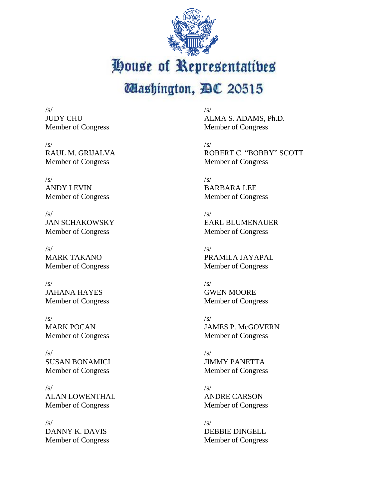

House of Representatibes

## **Mashington, DC 20515**

/s/ JUDY CHU Member of Congress

 $/s/$ RAUL M. GRIJALVA Member of Congress

 $/s/$ ANDY LEVIN Member of Congress

 $/s/$ JAN SCHAKOWSKY Member of Congress

 $/s/$ MARK TAKANO Member of Congress

 $/s/$ JAHANA HAYES Member of Congress

 $/s/$ MARK POCAN Member of Congress

/s/ SUSAN BONAMICI Member of Congress

 $/s/$ ALAN LOWENTHAL Member of Congress

 $/s/$ DANNY K. DAVIS Member of Congress /s/ ALMA S. ADAMS, Ph.D. Member of Congress

 $\sqrt{s}$ ROBERT C. "BOBBY" SCOTT Member of Congress

 $\sqrt{s/}$ BARBARA LEE Member of Congress

 $\sqrt{s}$ EARL BLUMENAUER Member of Congress

 $\sqrt{s/}$ PRAMILA JAYAPAL Member of Congress

 $\sqrt{s}$ GWEN MOORE Member of Congress

 $\sqrt{s}$ JAMES P. McGOVERN Member of Congress

 $\sqrt{s}$ JIMMY PANETTA Member of Congress

 $\sqrt{s}$ ANDRE CARSON Member of Congress

 $\sqrt{s}$ DEBBIE DINGELL Member of Congress